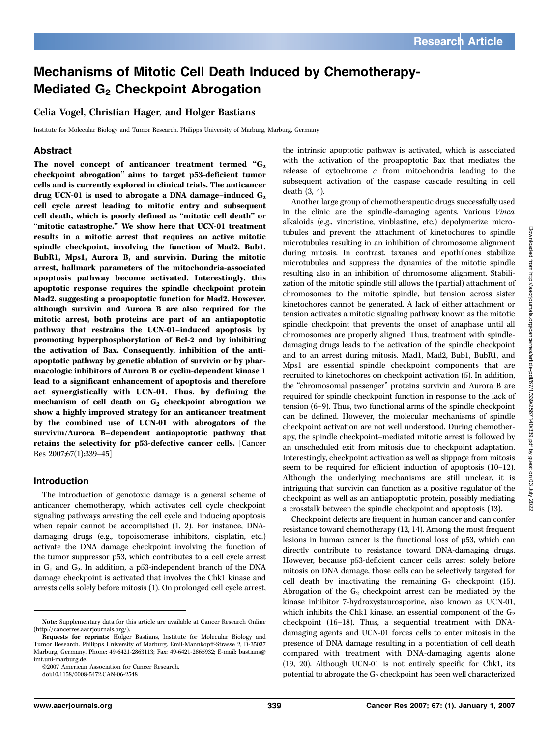# Mechanisms of Mitotic Cell Death Induced by Chemotherapy-Mediated  $G<sub>2</sub>$  Checkpoint Abrogation

Celia Vogel, Christian Hager, and Holger Bastians

Institute for Molecular Biology and Tumor Research, Philipps University of Marburg, Marburg, Germany

## Abstract

The novel concept of anticancer treatment termed  $G_2$ checkpoint abrogation'' aims to target p53-deficient tumor cells and is currently explored in clinical trials. The anticancer drug UCN-01 is used to abrogate a DNA damage-induced  $G_2$ cell cycle arrest leading to mitotic entry and subsequent cell death, which is poorly defined as ''mitotic cell death'' or "mitotic catastrophe." We show here that UCN-01 treatment results in a mitotic arrest that requires an active mitotic spindle checkpoint, involving the function of Mad2, Bub1, BubR1, Mps1, Aurora B, and survivin. During the mitotic arrest, hallmark parameters of the mitochondria-associated apoptosis pathway become activated. Interestingly, this apoptotic response requires the spindle checkpoint protein Mad2, suggesting a proapoptotic function for Mad2. However, although survivin and Aurora B are also required for the mitotic arrest, both proteins are part of an antiapoptotic pathway that restrains the UCN-01–induced apoptosis by promoting hyperphosphorylation of Bcl-2 and by inhibiting the activation of Bax. Consequently, inhibition of the antiapoptotic pathway by genetic ablation of survivin or by pharmacologic inhibitors of Aurora B or cyclin-dependent kinase 1 lead to a significant enhancement of apoptosis and therefore act synergistically with UCN-01. Thus, by defining the mechanism of cell death on  $G_2$  checkpoint abrogation we show a highly improved strategy for an anticancer treatment by the combined use of UCN-01 with abrogators of the survivin/Aurora B–dependent antiapoptotic pathway that retains the selectivity for p53-defective cancer cells. [Cancer Res 2007;67(1):339–45]

### Introduction

The introduction of genotoxic damage is a general scheme of anticancer chemotherapy, which activates cell cycle checkpoint signaling pathways arresting the cell cycle and inducing apoptosis when repair cannot be accomplished (1, 2). For instance, DNAdamaging drugs (e.g., topoisomerase inhibitors, cisplatin, etc.) activate the DNA damage checkpoint involving the function of the tumor suppressor p53, which contributes to a cell cycle arrest in  $G_1$  and  $G_2$ . In addition, a p53-independent branch of the DNA damage checkpoint is activated that involves the Chk1 kinase and arrests cells solely before mitosis (1). On prolonged cell cycle arrest,

©2007 American Association for Cancer Research.

doi:10.1158/0008-5472.CAN-06-2548

the intrinsic apoptotic pathway is activated, which is associated with the activation of the proapoptotic Bax that mediates the release of cytochrome c from mitochondria leading to the subsequent activation of the caspase cascade resulting in cell death (3, 4).

Another large group of chemotherapeutic drugs successfully used in the clinic are the spindle-damaging agents. Various Vinca alkaloids (e.g., vincristine, vinblastine, etc.) depolymerize microtubules and prevent the attachment of kinetochores to spindle microtubules resulting in an inhibition of chromosome alignment during mitosis. In contrast, taxanes and epothilones stabilize microtubules and suppress the dynamics of the mitotic spindle resulting also in an inhibition of chromosome alignment. Stabilization of the mitotic spindle still allows the (partial) attachment of chromosomes to the mitotic spindle, but tension across sister kinetochores cannot be generated. A lack of either attachment or tension activates a mitotic signaling pathway known as the mitotic spindle checkpoint that prevents the onset of anaphase until all chromosomes are properly aligned. Thus, treatment with spindledamaging drugs leads to the activation of the spindle checkpoint and to an arrest during mitosis. Mad1, Mad2, Bub1, BubR1, and Mps1 are essential spindle checkpoint components that are recruited to kinetochores on checkpoint activation (5). In addition, the ''chromosomal passenger'' proteins survivin and Aurora B are required for spindle checkpoint function in response to the lack of tension (6–9). Thus, two functional arms of the spindle checkpoint can be defined. However, the molecular mechanisms of spindle checkpoint activation are not well understood. During chemotherapy, the spindle checkpoint–mediated mitotic arrest is followed by an unscheduled exit from mitosis due to checkpoint adaptation. Interestingly, checkpoint activation as well as slippage from mitosis seem to be required for efficient induction of apoptosis (10–12). Although the underlying mechanisms are still unclear, it is intriguing that survivin can function as a positive regulator of the checkpoint as well as an antiapoptotic protein, possibly mediating a crosstalk between the spindle checkpoint and apoptosis (13).

Checkpoint defects are frequent in human cancer and can confer resistance toward chemotherapy (12, 14). Among the most frequent lesions in human cancer is the functional loss of p53, which can directly contribute to resistance toward DNA-damaging drugs. However, because p53-deficient cancer cells arrest solely before mitosis on DNA damage, those cells can be selectively targeted for cell death by inactivating the remaining  $G_2$  checkpoint (15). Abrogation of the  $G_2$  checkpoint arrest can be mediated by the kinase inhibitor 7-hydroxystaurosporine, also known as UCN-01, which inhibits the Chk1 kinase, an essential component of the  $G_2$ checkpoint (16–18). Thus, a sequential treatment with DNAdamaging agents and UCN-01 forces cells to enter mitosis in the presence of DNA damage resulting in a potentiation of cell death compared with treatment with DNA-damaging agents alone (19, 20). Although UCN-01 is not entirely specific for Chk1, its potential to abrogate the  $G_2$  checkpoint has been well characterized

Note: Supplementary data for this article are available at Cancer Research Online (http://cancerres.aacrjournals.org/).

Requests for reprints: Holger Bastians, Institute for Molecular Biology and Tumor Research, Philipps University of Marburg, Emil-Mannkopff-Strasse 2, D-35037 Marburg, Germany. Phone: 49-6421-2863113; Fax: 49-6421-2865932; E-mail: bastians@ imt.uni-marburg.de.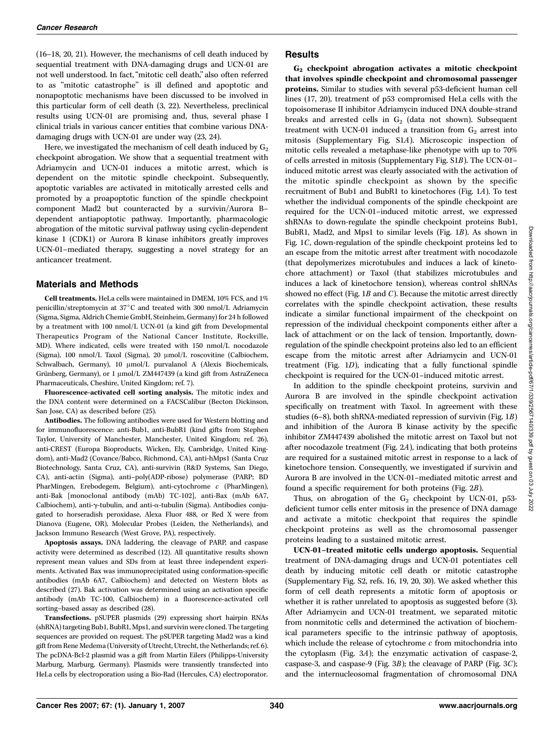(16–18, 20, 21). However, the mechanisms of cell death induced by sequential treatment with DNA-damaging drugs and UCN-01 are not well understood. In fact, ''mitotic cell death,'' also often referred to as ''mitotic catastrophe'' is ill defined and apoptotic and nonapoptotic mechanisms have been discussed to be involved in this particular form of cell death (3, 22). Nevertheless, preclinical results using UCN-01 are promising and, thus, several phase I clinical trials in various cancer entities that combine various DNAdamaging drugs with UCN-01 are under way (23, 24).

Here, we investigated the mechanism of cell death induced by  $G_2$ checkpoint abrogation. We show that a sequential treatment with Adriamycin and UCN-01 induces a mitotic arrest, which is dependent on the mitotic spindle checkpoint. Subsequently, apoptotic variables are activated in mitotically arrested cells and promoted by a proapoptotic function of the spindle checkpoint component Mad2 but counteracted by a survivin/Aurora Bdependent antiapoptotic pathway. Importantly, pharmacologic abrogation of the mitotic survival pathway using cyclin-dependent kinase 1 (CDK1) or Aurora B kinase inhibitors greatly improves UCN-01–mediated therapy, suggesting a novel strategy for an anticancer treatment.

## Materials and Methods

Cell treatments. HeLa cells were maintained in DMEM, 10% FCS, and 1% penicillin/streptomycin at  $37^{\circ}$ C and treated with 300 nmol/L Adriamycin (Sigma, Sigma, Aldrich Chemie GmbH, Steinheim, Germany) for 24 h followed by a treatment with 100 nmol/L UCN-01 (a kind gift from Developmental Therapeutics Program of the National Cancer Institute, Rockville, MD). Where indicated, cells were treated with 150 nmol/L nocodazole (Sigma), 100 nmol/L Taxol (Sigma), 20 µmol/L roscovitine (Calbiochem, Schwalbach, Germany), 10 µmol/L purvalanol A (Alexis Biochemicals, Grünberg, Germany), or 1 µmol/L ZM447439 (a kind gift from AstraZeneca Pharmaceuticals, Cheshire, United Kingdom; ref. 7).

Fluorescence-activated cell sorting analysis. The mitotic index and the DNA content were determined on a FACSCalibur (Becton Dickinson, San Jose, CA) as described before (25).

Antibodies. The following antibodies were used for Western blotting and for immunofluorescence: anti-Bub1, anti-BubR1 (kind gifts from Stephen Taylor, University of Manchester, Manchester, United Kingdom; ref. 26), anti-CREST (Europa Bioproducts, Wicken, Ely, Cambridge, United Kingdom), anti-Mad2(Covance/Babco, Richmond, CA), anti-hMps1 (Santa Cruz Biotechnology, Santa Cruz, CA), anti-survivin (R&D Systems, San Diego, CA), anti-actin (Sigma), anti–poly(ADP-ribose) polymerase (PARP; BD PharMingen, Erebodegem, Belgium), anti-cytochrome c (PharMingen), anti-Bak [monoclonal antibody (mAb) TC-102], anti-Bax (mAb 6A7, Calbiochem), anti- $\gamma$ -tubulin, and anti- $\alpha$ -tubulin (Sigma). Antibodies conjugated to horseradish peroxidase, Alexa Fluor 488, or Red X were from Dianova (Eugene, OR), Molecular Probes (Leiden, the Netherlands), and Jackson Immuno Research (West Grove, PA), respectively.

Apoptosis assays. DNA laddering, the cleavage of PARP, and caspase activity were determined as described (12). All quantitative results shown represent mean values and SDs from at least three independent experiments. Activated Bax was immunoprecipitated using conformation-specific antibodies (mAb 6A7, Calbiochem) and detected on Western blots as described (27). Bak activation was determined using an activation specific antibody (mAb TC-100, Calbiochem) in a fluorescence-activated cell sorting–based assay as described (28).

Transfections. pSUPER plasmids (29) expressing short hairpin RNAs (shRNA) targeting Bub1, BubR1, Mps1, and survivin were cloned. The targeting sequences are provided on request. The pSUPER targeting Mad2was a kind gift from Rene Medema (University of Utrecht, Utrecht, the Netherlands; ref. 6). The pcDNA-Bcl-2 plasmid was a gift from Martin Eilers (Philipps-University Marburg, Marburg, Germany). Plasmids were transiently transfected into HeLa cells by electroporation using a Bio-Rad (Hercules, CA) electroporator.

# Results

G2 checkpoint abrogation activates a mitotic checkpoint that involves spindle checkpoint and chromosomal passenger proteins. Similar to studies with several p53-deficient human cell lines (17, 20), treatment of p53 compromised HeLa cells with the topoisomerase II inhibitor Adriamycin induced DNA double-strand breaks and arrested cells in  $G_2$  (data not shown). Subsequent treatment with UCN-01 induced a transition from  $G_2$  arrest into mitosis (Supplementary Fig. S1A). Microscopic inspection of mitotic cells revealed a metaphase-like phenotype with up to 70% of cells arrested in mitosis (Supplementary Fig. S1B). The UCN-01– induced mitotic arrest was clearly associated with the activation of the mitotic spindle checkpoint as shown by the specific recruitment of Bub1 and BubR1 to kinetochores (Fig. 1A). To test whether the individual components of the spindle checkpoint are required for the UCN-01–induced mitotic arrest, we expressed shRNAs to down-regulate the spindle checkpoint proteins Bub1, BubR1, Mad2, and Mps1 to similar levels (Fig. 1B). As shown in Fig. 1C, down-regulation of the spindle checkpoint proteins led to an escape from the mitotic arrest after treatment with nocodazole (that depolymerizes microtubules and induces a lack of kinetochore attachment) or Taxol (that stabilizes microtubules and induces a lack of kinetochore tension), whereas control shRNAs showed no effect (Fig.  $1B$  and  $C$ ). Because the mitotic arrest directly correlates with the spindle checkpoint activation, these results indicate a similar functional impairment of the checkpoint on repression of the individual checkpoint components either after a lack of attachment or on the lack of tension. Importantly, downregulation of the spindle checkpoint proteins also led to an efficient escape from the mitotic arrest after Adriamycin and UCN-01 treatment (Fig. 1D), indicating that a fully functional spindle checkpoint is required for the UCN-01–induced mitotic arrest.

In addition to the spindle checkpoint proteins, survivin and Aurora B are involved in the spindle checkpoint activation specifically on treatment with Taxol. In agreement with these studies (6–8), both shRNA-mediated repression of survivin (Fig. 1B) and inhibition of the Aurora B kinase activity by the specific inhibitor ZM447439 abolished the mitotic arrest on Taxol but not after nocodazole treatment (Fig. 2A), indicating that both proteins are required for a sustained mitotic arrest in response to a lack of kinetochore tension. Consequently, we investigated if survivin and Aurora B are involved in the UCN-01–mediated mitotic arrest and found a specific requirement for both proteins (Fig. 2B).

Thus, on abrogation of the  $G_2$  checkpoint by UCN-01, p53deficient tumor cells enter mitosis in the presence of DNA damage and activate a mitotic checkpoint that requires the spindle checkpoint proteins as well as the chromosomal passenger proteins leading to a sustained mitotic arrest.

UCN-01–treated mitotic cells undergo apoptosis. Sequential treatment of DNA-damaging drugs and UCN-01 potentiates cell death by inducing mitotic cell death or mitotic catastrophe (Supplementary Fig. S2, refs. 16, 19, 20, 30). We asked whether this form of cell death represents a mitotic form of apoptosis or whether it is rather unrelated to apoptosis as suggested before (3). After Adriamycin and UCN-01 treatment, we separated mitotic from nonmitotic cells and determined the activation of biochemical parameters specific to the intrinsic pathway of apoptosis, which include the release of cytochrome  $c$  from mitochondria into the cytoplasm (Fig. 3A); the enzymatic activation of caspase-2, caspase-3, and caspase-9 (Fig. 3B); the cleavage of PARP (Fig. 3C); and the internucleosomal fragmentation of chromosomal DNA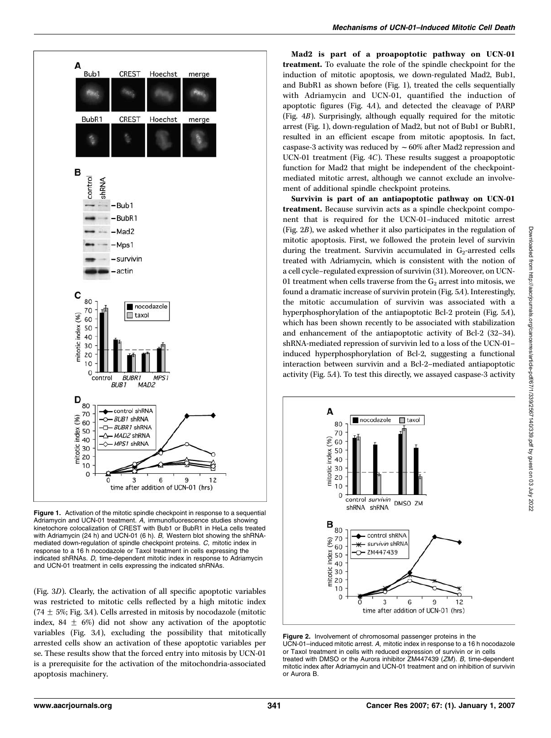

**Figure 1.** Activation of the mitotic spindle checkpoint in response to a sequential Adriamycin and UCN-01 treatment. A, immunofluorescence studies showing kinetochore colocalization of CREST with Bub1 or BubR1 in HeLa cells treated with Adriamycin (24 h) and UCN-01 (6 h). B, Western blot showing the shRNAmediated down-regulation of spindle checkpoint proteins. C, mitotic index in response to a 16 h nocodazole or Taxol treatment in cells expressing the indicated shRNAs. D, time-dependent mitotic index in response to Adriamycin and UCN-01 treatment in cells expressing the indicated shRNAs.

(Fig. 3D). Clearly, the activation of all specific apoptotic variables was restricted to mitotic cells reflected by a high mitotic index  $(74 \pm 5\%)$ ; Fig. 3A). Cells arrested in mitosis by nocodazole (mitotic index, 84  $\pm$  6%) did not show any activation of the apoptotic variables (Fig. 3A), excluding the possibility that mitotically arrested cells show an activation of these apoptotic variables per se. These results show that the forced entry into mitosis by UCN-01 is a prerequisite for the activation of the mitochondria-associated apoptosis machinery.

Mad2 is part of a proapoptotic pathway on UCN-01 treatment. To evaluate the role of the spindle checkpoint for the induction of mitotic apoptosis, we down-regulated Mad2, Bub1, and BubR1 as shown before (Fig. 1), treated the cells sequentially with Adriamycin and UCN-01, quantified the induction of apoptotic figures (Fig. 4A), and detected the cleavage of PARP (Fig. 4B). Surprisingly, although equally required for the mitotic arrest (Fig. 1), down-regulation of Mad2, but not of Bub1 or BubR1, resulted in an efficient escape from mitotic apoptosis. In fact, caspase-3 activity was reduced by  $\sim 60\%$  after Mad2 repression and UCN-01 treatment (Fig. 4C). These results suggest a proapoptotic function for Mad2 that might be independent of the checkpointmediated mitotic arrest, although we cannot exclude an involvement of additional spindle checkpoint proteins.

Survivin is part of an antiapoptotic pathway on UCN-01 treatment. Because survivin acts as a spindle checkpoint component that is required for the UCN-01–induced mitotic arrest (Fig. 2B), we asked whether it also participates in the regulation of mitotic apoptosis. First, we followed the protein level of survivin during the treatment. Survivin accumulated in  $G_2$ -arrested cells treated with Adriamycin, which is consistent with the notion of a cell cycle–regulated expression of survivin (31). Moreover, on UCN-01 treatment when cells traverse from the  $G_2$  arrest into mitosis, we found a dramatic increase of survivin protein (Fig. 5A). Interestingly, the mitotic accumulation of survivin was associated with a hyperphosphorylation of the antiapoptotic Bcl-2 protein (Fig. 5A), which has been shown recently to be associated with stabilization and enhancement of the antiapoptotic activity of Bcl-2(32–34). shRNA-mediated repression of survivin led to a loss of the UCN-01– induced hyperphosphorylation of Bcl-2, suggesting a functional interaction between survivin and a Bcl-2–mediated antiapoptotic activity (Fig. 5A). To test this directly, we assayed caspase-3 activity



Figure 2. Involvement of chromosomal passenger proteins in the UCN-01–induced mitotic arrest. A, mitotic index in response to a 16 h nocodazole or Taxol treatment in cells with reduced expression of survivin or in cells treated with DMSO or the Aurora inhibitor ZM447439 (ZM). B, time-dependent mitotic index after Adriamycin and UCN-01 treatment and on inhibition of survivin or Aurora B.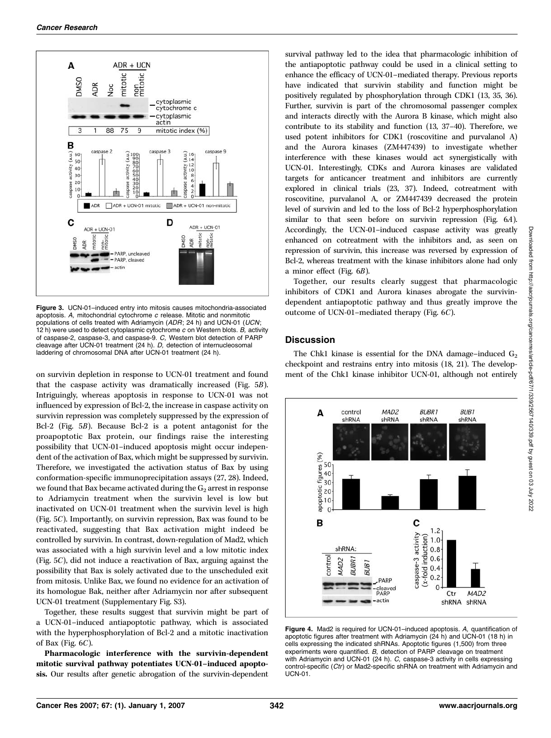

Figure 3. UCN-01–induced entry into mitosis causes mitochondria-associated apoptosis. A, mitochondrial cytochrome c release. Mitotic and nonmitotic populations of cells treated with Adriamycin (*ADR*; 24 h) and UCN-01 (*UCN*;<br>12 h) were used to detect cytoplasmic cytochrome *c* on Western blots. *B,* activity of caspase-2, caspase-3, and caspase-9. C, Western blot detection of PARP cleavage after UCN-01 treatment (24 h). D, detection of internucleosomal laddering of chromosomal DNA after UCN-01 treatment (24 h).

on survivin depletion in response to UCN-01 treatment and found that the caspase activity was dramatically increased (Fig. 5B). Intriguingly, whereas apoptosis in response to UCN-01 was not influenced by expression of Bcl-2, the increase in caspase activity on survivin repression was completely suppressed by the expression of Bcl-2 (Fig.  $5B$ ). Because Bcl-2 is a potent antagonist for the proapoptotic Bax protein, our findings raise the interesting possibility that UCN-01–induced apoptosis might occur independent of the activation of Bax, which might be suppressed by survivin. Therefore, we investigated the activation status of Bax by using conformation-specific immunoprecipitation assays (27, 28). Indeed, we found that Bax became activated during the  $G_2$  arrest in response to Adriamycin treatment when the survivin level is low but inactivated on UCN-01 treatment when the survivin level is high (Fig. 5C). Importantly, on survivin repression, Bax was found to be reactivated, suggesting that Bax activation might indeed be controlled by survivin. In contrast, down-regulation of Mad2, which was associated with a high survivin level and a low mitotic index (Fig. 5C), did not induce a reactivation of Bax, arguing against the possibility that Bax is solely activated due to the unscheduled exit from mitosis. Unlike Bax, we found no evidence for an activation of its homologue Bak, neither after Adriamycin nor after subsequent UCN-01 treatment (Supplementary Fig. S3).

Together, these results suggest that survivin might be part of a UCN-01–induced antiapoptotic pathway, which is associated with the hyperphosphorylation of Bcl-2 and a mitotic inactivation of Bax (Fig. 6C).

Pharmacologic interference with the survivin-dependent mitotic survival pathway potentiates UCN-01–induced apoptosis. Our results after genetic abrogation of the survivin-dependent

survival pathway led to the idea that pharmacologic inhibition of the antiapoptotic pathway could be used in a clinical setting to enhance the efficacy of UCN-01–mediated therapy. Previous reports have indicated that survivin stability and function might be positively regulated by phosphorylation through CDK1 (13, 35, 36). Further, survivin is part of the chromosomal passenger complex and interacts directly with the Aurora B kinase, which might also contribute to its stability and function (13, 37–40). Therefore, we used potent inhibitors for CDK1 (roscovitine and purvalanol A) and the Aurora kinases (ZM447439) to investigate whether interference with these kinases would act synergistically with UCN-01. Interestingly, CDKs and Aurora kinases are validated targets for anticancer treatment and inhibitors are currently explored in clinical trials (23, 37). Indeed, cotreatment with roscovitine, purvalanol A, or ZM447439 decreased the protein level of survivin and led to the loss of Bcl-2 hyperphosphorylation similar to that seen before on survivin repression (Fig. 6A). Accordingly, the UCN-01–induced caspase activity was greatly enhanced on cotreatment with the inhibitors and, as seen on repression of survivin, this increase was reversed by expression of Bcl-2, whereas treatment with the kinase inhibitors alone had only a minor effect (Fig. 6B).

Together, our results clearly suggest that pharmacologic inhibitors of CDK1 and Aurora kinases abrogate the survivindependent antiapoptotic pathway and thus greatly improve the outcome of UCN-01–mediated therapy (Fig. 6C).

# **Discussion**

The Chk1 kinase is essential for the DNA damage-induced  $G_2$ checkpoint and restrains entry into mitosis (18, 21). The development of the Chk1 kinase inhibitor UCN-01, although not entirely



Figure 4. Mad2 is required for UCN-01–induced apoptosis. A, quantification of apoptotic figures after treatment with Adriamycin (24 h) and UCN-01 (18 h) in cells expressing the indicated shRNAs. Apoptotic figures (1,500) from three experiments were quantified. B, detection of PARP cleavage on treatment with Adriamycin and UCN-01 (24 h). C, caspase-3 activity in cells expressing control-specific (Ctr) or Mad2-specific shRNA on treatment with Adriamycin and UCN-01.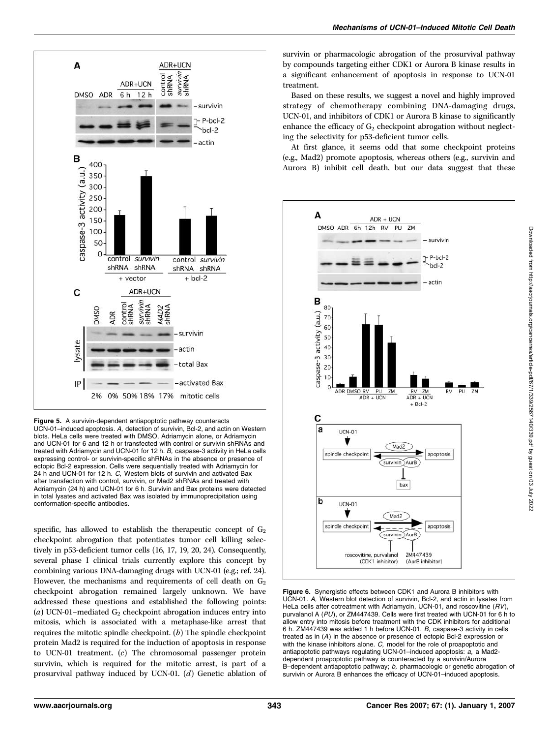

Figure 5. A survivin-dependent antiapoptotic pathway counteracts UCN-01–induced apoptosis. A, detection of survivin, Bcl-2, and actin on Western blots. HeLa cells were treated with DMSO, Adriamycin alone, or Adriamycin and UCN-01 for 6 and 12 h or transfected with control or survivin shRNAs and treated with Adriamycin and UCN-01 for 12 h. B, caspase-3 activity in HeLa cells expressing control- or survivin-specific shRNAs in the absence or presence of ectopic Bcl-2 expression. Cells were sequentially treated with Adriamycin for 24 h and UCN-01 for 12 h. C, Western blots of survivin and activated Bax after transfection with control, survivin, or Mad2 shRNAs and treated with Adriamycin (24 h) and UCN-01 for 6 h. Survivin and Bax proteins were detected in total lysates and activated Bax was isolated by immunoprecipitation using conformation-specific antibodies.

specific, has allowed to establish the therapeutic concept of  $G<sub>2</sub>$ checkpoint abrogation that potentiates tumor cell killing selectively in p53-deficient tumor cells (16, 17, 19, 20, 24). Consequently, several phase I clinical trials currently explore this concept by combining various DNA-damaging drugs with UCN-01 (e.g.; ref. 24). However, the mechanisms and requirements of cell death on  $G_2$ checkpoint abrogation remained largely unknown. We have addressed these questions and established the following points: (a) UCN-01–mediated  $G_2$  checkpoint abrogation induces entry into mitosis, which is associated with a metaphase-like arrest that requires the mitotic spindle checkpoint.  $(b)$  The spindle checkpoint protein Mad2 is required for the induction of apoptosis in response to UCN-01 treatment. (c) The chromosomal passenger protein survivin, which is required for the mitotic arrest, is part of a prosurvival pathway induced by UCN-01. (d) Genetic ablation of survivin or pharmacologic abrogation of the prosurvival pathway by compounds targeting either CDK1 or Aurora B kinase results in a significant enhancement of apoptosis in response to UCN-01 treatment.

Based on these results, we suggest a novel and highly improved strategy of chemotherapy combining DNA-damaging drugs, UCN-01, and inhibitors of CDK1 or Aurora B kinase to significantly enhance the efficacy of  $G_2$  checkpoint abrogation without neglecting the selectivity for p53-deficient tumor cells.

At first glance, it seems odd that some checkpoint proteins (e.g., Mad2) promote apoptosis, whereas others (e.g., survivin and Aurora B) inhibit cell death, but our data suggest that these



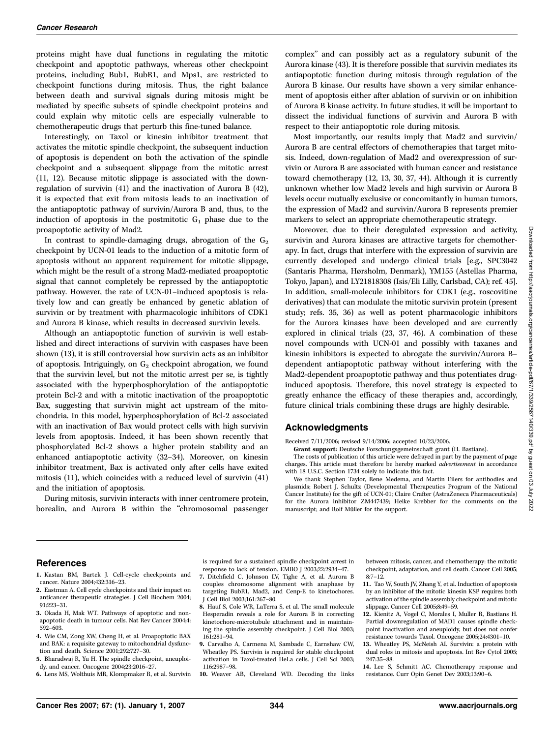proteins might have dual functions in regulating the mitotic checkpoint and apoptotic pathways, whereas other checkpoint proteins, including Bub1, BubR1, and Mps1, are restricted to checkpoint functions during mitosis. Thus, the right balance between death and survival signals during mitosis might be mediated by specific subsets of spindle checkpoint proteins and could explain why mitotic cells are especially vulnerable to chemotherapeutic drugs that perturb this fine-tuned balance.

Interestingly, on Taxol or kinesin inhibitor treatment that activates the mitotic spindle checkpoint, the subsequent induction of apoptosis is dependent on both the activation of the spindle checkpoint and a subsequent slippage from the mitotic arrest (11, 12). Because mitotic slippage is associated with the downregulation of survivin (41) and the inactivation of Aurora B (42), it is expected that exit from mitosis leads to an inactivation of the antiapoptotic pathway of survivin/Aurora B and, thus, to the induction of apoptosis in the postmitotic  $G_1$  phase due to the proapoptotic activity of Mad2.

In contrast to spindle-damaging drugs, abrogation of the  $G_2$ checkpoint by UCN-01 leads to the induction of a mitotic form of apoptosis without an apparent requirement for mitotic slippage, which might be the result of a strong Mad2-mediated proapoptotic signal that cannot completely be repressed by the antiapoptotic pathway. However, the rate of UCN-01–induced apoptosis is relatively low and can greatly be enhanced by genetic ablation of survivin or by treatment with pharmacologic inhibitors of CDK1 and Aurora B kinase, which results in decreased survivin levels.

Although an antiapoptotic function of survivin is well established and direct interactions of survivin with caspases have been shown (13), it is still controversial how survivin acts as an inhibitor of apoptosis. Intriguingly, on  $G_2$  checkpoint abrogation, we found that the survivin level, but not the mitotic arrest per se, is tightly associated with the hyperphosphorylation of the antiapoptotic protein Bcl-2and with a mitotic inactivation of the proapoptotic Bax, suggesting that survivin might act upstream of the mitochondria. In this model, hyperphosphorylation of Bcl-2 associated with an inactivation of Bax would protect cells with high survivin levels from apoptosis. Indeed, it has been shown recently that phosphorylated Bcl-2 shows a higher protein stability and an enhanced antiapoptotic activity (32–34). Moreover, on kinesin inhibitor treatment, Bax is activated only after cells have exited mitosis (11), which coincides with a reduced level of survivin (41) and the initiation of apoptosis.

During mitosis, survivin interacts with inner centromere protein, borealin, and Aurora B within the ''chromosomal passenger

complex'' and can possibly act as a regulatory subunit of the Aurora kinase (43). It is therefore possible that survivin mediates its antiapoptotic function during mitosis through regulation of the Aurora B kinase. Our results have shown a very similar enhancement of apoptosis either after ablation of survivin or on inhibition of Aurora B kinase activity. In future studies, it will be important to dissect the individual functions of survivin and Aurora B with respect to their antiapoptotic role during mitosis.

Most importantly, our results imply that Mad2and survivin/ Aurora B are central effectors of chemotherapies that target mitosis. Indeed, down-regulation of Mad2and overexpression of survivin or Aurora B are associated with human cancer and resistance toward chemotherapy (12, 13, 30, 37, 44). Although it is currently unknown whether low Mad2 levels and high survivin or Aurora B levels occur mutually exclusive or concomitantly in human tumors, the expression of Mad2and survivin/Aurora B represents premier markers to select an appropriate chemotherapeutic strategy.

Moreover, due to their deregulated expression and activity, survivin and Aurora kinases are attractive targets for chemotherapy. In fact, drugs that interfere with the expression of survivin are currently developed and undergo clinical trials [e.g., SPC3042 (Santaris Pharma, Hørsholm, Denmark), YM155 (Astellas Pharma, Tokyo, Japan), and LY21818308 (Isis/Eli Lilly, Carlsbad, CA); ref. 45]. In addition, small-molecule inhibitors for CDK1 (e.g., roscovitine derivatives) that can modulate the mitotic survivin protein (present study; refs. 35, 36) as well as potent pharmacologic inhibitors for the Aurora kinases have been developed and are currently explored in clinical trials (23, 37, 46). A combination of these novel compounds with UCN-01 and possibly with taxanes and kinesin inhibitors is expected to abrogate the survivin/Aurora B– dependent antiapoptotic pathway without interfering with the Mad2-dependent proapoptotic pathway and thus potentiates druginduced apoptosis. Therefore, this novel strategy is expected to greatly enhance the efficacy of these therapies and, accordingly, future clinical trials combining these drugs are highly desirable.

#### Acknowledgments

Received 7/11/2006; revised 9/14/2006; accepted 10/23/2006.

Grant support: Deutsche Forschungsgemeinschaft grant (H. Bastians).

The costs of publication of this article were defrayed in part by the payment of page charges. This article must therefore be hereby marked advertisement in accordance with 18 U.S.C. Section 1734 solely to indicate this fact.

We thank Stephen Taylor, Rene Medema, and Martin Eilers for antibodies and plasmids; Robert J. Schultz (Developmental Therapeutics Program of the National Cancer Institute) for the gift of UCN-01; Claire Crafter (AstraZeneca Pharmaceuticals) for the Aurora inhibitor ZM447439; Heike Krebber for the comments on the manuscript: and Rolf Müller for the support.

#### References

- 1. Kastan BM, Bartek J. Cell-cycle checkpoints and cancer. Nature 2004;432:316–23.
- 2. Eastman A. Cell cycle checkpoints and their impact on anticancer therapeutic strategies. J Cell Biochem 2004; 91:223–31.
- 3. Okada H, Mak WT. Pathways of apoptotic and nonapoptotic death in tumour cells. Nat Rev Cancer 2004;4: 592–603.
- 4. Wie CM, Zong XW, Cheng H, et al. Proapoptotic BAX and BAK: a requisite gateway to mitochondrial dysfunction and death. Science 2001;292:727–30.
- 5. Bharadwaj R, Yu H. The spindle checkpoint, aneuploi-
- dy, and cancer. Oncogene 2004;23:2016–27. 6. Lens MS, Wolthuis MR, Klompmaker R, et al. Survivin

is required for a sustained spindle checkpoint arrest in response to lack of tension. EMBO J 2003;22:2934–47.

- 7. Ditchfield C, Johnson LV, Tighe A, et al. Aurora B couples chromosome alignment with anaphase by targeting BubR1, Mad2, and Cenp-E to kinetochores. J Cell Biol 2003;161:267–80.
- 8. Hauf S, Cole WR, LaTerra S, et al. The small molecule Hesperadin reveals a role for Aurora B in correcting kinetochore-microtubule attachment and in maintaining the spindle assembly checkpoint. J Cell Biol 2003; 161:281–94.
- 9. Carvalho A, Carmena M, Sambade C, Earnshaw CW, Wheatley PS. Survivin is required for stable checkpoint activation in Taxol-treated HeLa cells. J Cell Sci 2003; 116:2987–98.
- 10. Weaver AB, Cleveland WD. Decoding the links

between mitosis, cancer, and chemotherapy: the mitotic checkpoint, adaptation, and cell death. Cancer Cell 2005; 8:7–12.

- 11. Tao W, South JV, Zhang Y, et al. Induction of apoptosis by an inhibitor of the mitotic kinesin KSP requires both activation of the spindle assembly checkpoint and mitotic slippage. Cancer Cell 2005;8:49–59.
- 12. Kienitz A, Vogel C, Morales I, Muller R, Bastians H. Partial downregulation of MAD1 causes spindle checkpoint inactivation and aneuploidy, but does not confer resistance towards Taxol. Oncogene 2005;24:4301–10.
- 13. Wheatley PS, McNeish AI. Survivin: a protein with dual roles in mitosis and apoptosis. Int Rev Cytol 2005; 247:35–88.

14. Lee S, Schmitt AC. Chemotherapy response and resistance. Curr Opin Genet Dev 2003;13:90–6.